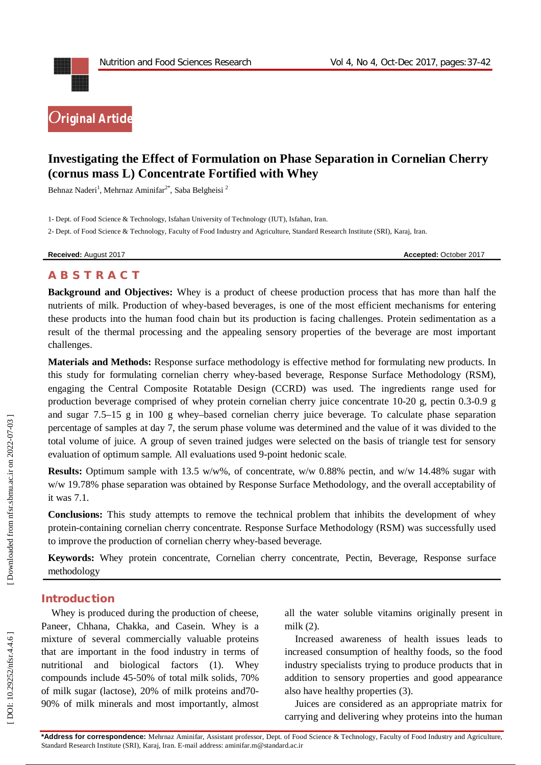

# **Investigating the Effect of Formulation on Phase Separation in Cornelian Cherry (cornus mass L) Concentrate Fortified with Whey**

Behnaz Naderi<sup>1</sup>, Mehrnaz Aminifar<sup>2\*</sup>, Saba Belgheisi<sup>2</sup>

1 - Dept. of Food Science & Technology, Isfahan University of Technology (IUT), Isfahan, Iran .

2 - Dept. of Food Science & Technology, Faculty of Food Industry and Agriculture, Standard Research Institute (SRI), Karaj, Iran .

**Received:** August 201

7 **Accepted:** October 201 7

# **A B S T R A C T**

**Background and Objectives:** Whey is a product of cheese production process that has more than half the nutrients of milk. Production of whey -based beverages, is one of the most efficient mechanisms for entering these products into the human food chain but its production is facing challenges. Protein sedimentation as a result of the thermal processing and the appealing sensory properties of the beverage are most important challenges.

**Materials and Methods:** Response surface methodology is effective method for formulating new products. In this study for formulating cornelian cherry whey -based beverage, Response Surface Methodology (RSM), engaging the Central Composite Rotatable Design (CCRD) was used. The ingredients range used for production beverage comprised of whey protein cornelian cherry juice concentrate 10 -20 g, pectin 0.3 -0.9 g and sugar 7.5 –15 g in 100 g whey –based cornelian cherry juice beverage. To calculate phase separation percentage of samples at day 7, the serum phase volume was determined and the value of it was divided to the total volume of juice. A group of seven trained judges were selected on the basis of triangle test for sensory evaluation of optimum sample. All evaluations used 9 -point hedonic scale .

**Results:** Optimum sample with 13.5 w/w%, of concentrate, w/w 0.88% pectin, and w/w 14.48% sugar with w/w 19.78% phase separation was obtained by Response Surface Methodology, and the overall acceptability of it was 7.1.

**Conclusions:** This study attempts to remove the technical problem that inhibits the development of whey protein -containing cornelian cherry concentrate. Response Surface Methodology (RSM) was successfully used to improve the production of cornelian cherry whey -based beverage.

**Keywords:** Whey protein concentrate, Cornelian cherry concentrate, Pectin, Beverage, Response surface methodology

## **Introduction**

Whey is produced during the production of cheese, Paneer, Chhana, Chakka, and Casein. Whey is a mixture of several commercially valuable proteins that are important in the food industry in terms of nutritional and biological factors (1). Whey compounds include 45 -50% of total milk solids, 70% of milk sugar (lactose), 20% of milk proteins and70 - 90% of milk minerals and most importantly, almost

all the water soluble vitamins originally present in milk (2).

Increased awareness of health issues leads to increased consumption of healthy foods, so the food industry specialists trying to produce products that in addition to sensory properties and good appearance also have healthy properties (3).

Juices are considered as an appropriate matrix for carrying and delivering whey proteins into the human

**\*Address for correspondence:** Mehrnaz Aminifar, Assistant professor, Dept. of Food Science & Technology, Faculty of Food Industry and Agriculture, Standard Research Institute (SRI), Karaj, Iran . E -mail address: aminifar.m@standard.ac.ir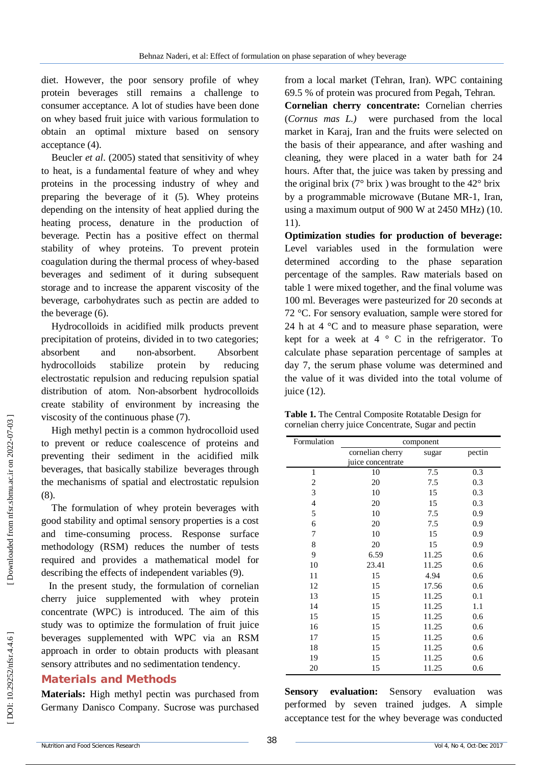diet. However, the poor sensory profile of whey protein beverages still remains a challenge to consumer acceptance. A lot of studies have been done on whey based fruit juice with various formulation to obtain an optimal mixture based on sensory acceptance (4).

Beucler *et al*. (2005) stated that sensitivity of whey to heat, is a fundamental feature of whey and whey proteins in the processing industry of whey and preparing the beverage of it (5). Whey proteins depending on the intensity of heat applied during the heating process, denature in the production of beverage. Pectin has a positive effect on thermal stability of whey proteins. To prevent protein coagulation during the thermal process of whey -based beverages and sediment of it during subsequent storage and to increase the apparent viscosity of the beverage, carbohydrates such as pectin are added to the beverage (6).

Hydrocolloids in acidified milk products prevent precipitation of proteins, divided in to two categories; absorbent and non-absorbent. Absorbent hydrocolloids stabilize protein by reducing electrostatic repulsion and reducing repulsion spatial distribution of atom. Non -absorbent hydrocolloids create stability of environment by increasing the viscosity of the continuous phase (7).

High methyl pectin is a common hydrocolloid used to prevent or reduce coalescence of proteins and preventing their sediment in the acidified milk beverages, that basically stabilize beverages through the mechanisms of spatial and electrostatic repulsion (8).

The formulation of whey protein beverages with good stability and optimal sensory properties is a cost and time -consuming process. Response surface methodology (RSM) reduces the number of tests required and provides a mathematical model for describing the effects of independent variables (9).

In the present study, the formulation of cornelian cherry juice supplemented with whey protein concentrate (WPC) is introduced. The aim of this study was to optimize the formulation of fruit juice beverages supplemented with WPC via an RSM approach in order to obtain products with pleasant sensory attributes and no sedimentation tendency .

## **Material s and Methods**

**Materials :** High methyl pectin was purchased from Germany Danisco Company. Sucrose was purchased

from a local market (Tehran, Iran). WPC containing 69.5 % of protein was procured from Pegah, Tehran.

**Cornelian cherry concentrate:** Cornelian cherries (*Cornus mas L.)* were purchased from the local market in Karaj, Iran and the fruits were selected on the basis of their appearance, and after washing and cleaning, they were placed in a water bath for 24 hours. After that, the juice was taken by pressing and the original brix ( $7^{\circ}$  brix) was brought to the  $42^{\circ}$  brix by a programmable microwave (Butane M R -1, Iran, using a maximum output of 900 W at 2450 MHz) (10. 11) .

**Optimization studies for production of beverage:**  Level variables used in the formulation were determined according to the phase separation percentage of the samples. Raw materials based on table 1 were mixed together, and the final volume was 100 ml. Beverages were pasteurized for 20 seconds at 72 °C. For sensory evaluation, sample were stored for 24 h at  $4 \degree$ C and to measure phase separation, were kept for a week at  $4 \circ C$  in the refrigerator. To calculate phase separation percentage of samples at day 7, the serum phase volume was determined and the value of it was divided into the total volume of juice  $(12)$ .

| Table 1. The Central Composite Rotatable Design for  |
|------------------------------------------------------|
| cornelian cherry juice Concentrate, Sugar and pectin |

| Formulation    | component         |       |        |  |
|----------------|-------------------|-------|--------|--|
|                | cornelian cherry  | sugar | pectin |  |
|                | juice concentrate |       |        |  |
| $\mathbf{1}$   | 10                | 7.5   | 0.3    |  |
| $\overline{c}$ | 20                | 7.5   | 0.3    |  |
| 3              | 10                | 15    | 0.3    |  |
| 4              | 20                | 15    | 0.3    |  |
| 5              | 10                | 7.5   | 0.9    |  |
| 6              | 20                | 7.5   | 0.9    |  |
| 7              | 10                | 15    | 0.9    |  |
| 8              | 20                | 15    | 0.9    |  |
| 9              | 6.59              | 11.25 | 0.6    |  |
| 10             | 23.41             | 11.25 | 0.6    |  |
| 11             | 15                | 4.94  | 0.6    |  |
| 12             | 15                | 17.56 | 0.6    |  |
| 13             | 15                | 11.25 | 0.1    |  |
| 14             | 15                | 11.25 | 1.1    |  |
| 15             | 15                | 11.25 | 0.6    |  |
| 16             | 15                | 11.25 | 0.6    |  |
| 17             | 15                | 11.25 | 0.6    |  |
| 18             | 15                | 11.25 | 0.6    |  |
| 19             | 15                | 11.25 | 0.6    |  |
| 20             | 15                | 11.25 | 0.6    |  |

**Sensory evaluation:** Sensory evaluation was performed by seven trained judges. A simple acceptance test for the whey beverage was conducted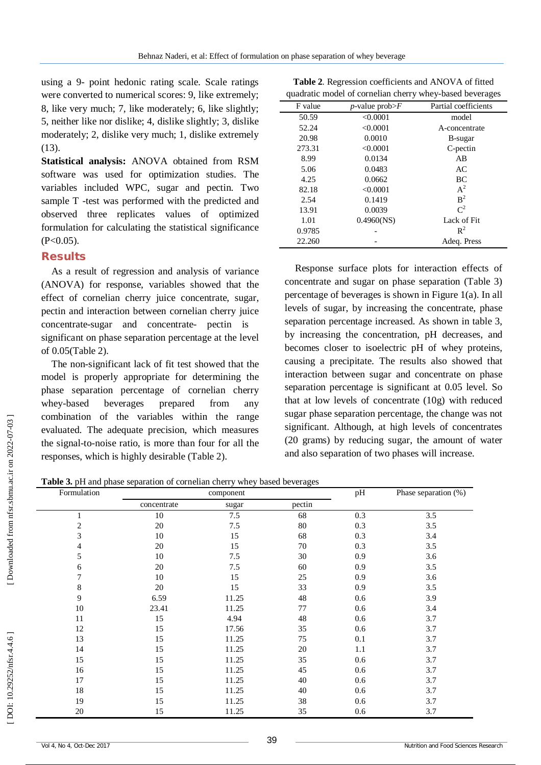using a 9 - point hedonic rating scale. Scale ratings were converted to numerical scores: 9, like extremely; 8, like very much; 7, like moderately; 6, like slightly; 5, neither like nor dislike; 4, dislike slightly; 3, dislike moderately; 2, dislike very much; 1, dislike extremely  $(13)$ .

**Statistical analysis:** ANOVA obtained from RSM software was used for optimization studies. The variables included WPC, sugar and pectin. Two sample T -test was performed with the predicted and observed three replicates values of optimized formulation for calculating the statistical significance  $(P<0.05)$ .

## **Results**

As a result of regression and analysis of variance (ANOVA) for response, variables showed that the effect of cornelian cherry juice concentrate, sugar, pectin and interaction between cornelian cherry juice concentrate -sugar and concentrate - pectin is significant on phase separation percentage at the level of 0.05(Table 2).

The non -significant lack of fit test showed that the model is properly appropriate for determining the phase separation percentage of cornelian cherry whey-based beverages prepared from any combination of the variables within the range evaluated. The adequate precision, which measures the signal -to -noise ratio, is more than four for all the responses, which is highly desirable (Table 2).

**Table 2** . Regression coefficients and ANOVA of fitted quadratic model of cornelian cherry whey -based beverages

| $\frac{1}{2}$ |                               |                      |  |
|---------------|-------------------------------|----------------------|--|
| F value       | <i>p</i> -value prob $\geq$ F | Partial coefficients |  |
| 50.59         | < 0.0001                      | model                |  |
| 52.24         | < 0.0001                      | A-concentrate        |  |
| 20.98         | 0.0010                        | B-sugar              |  |
| 273.31        | < 0.0001                      | C-pectin             |  |
| 8.99          | 0.0134                        | AB                   |  |
| 5.06          | 0.0483                        | AC                   |  |
| 4.25          | 0.0662                        | BC                   |  |
| 82.18         | < 0.0001                      | $A^2$                |  |
| 2.54          | 0.1419                        | B <sup>2</sup>       |  |
| 13.91         | 0.0039                        | $\mathrm{C}^2$       |  |
| 1.01          | $0.4960$ (NS)                 | Lack of Fit          |  |
| 0.9785        |                               | $\mathbb{R}^2$       |  |
| 22.260        |                               | Adeq. Press          |  |

Response surface plots for interaction effects of concentrate and sugar on phase separation (Table 3) percentage of beverages is shown in Figure 1(a). In all levels of sugar, by increasing the concentrate, phase separation percentage increased. As shown in table 3, by increasing the concentration, pH decreases, and becomes closer to isoelectric pH of whey proteins, causing a precipitate. The results also showed that interaction between sugar and concentrate on phase separation percentage is significant at 0.05 level. So that at low levels of concentrate (10g) with reduced sugar phase separation percentage, the change was not significant. Although, at high levels of concentrates (20 grams) by reducing sugar, the amount of water and also separation of two phases will increase.

**Table 3 .** pH and phase separation of cornelian cherry whey based beverages

| Formulation    |             | component |        | pH  | Phase separation (%) |
|----------------|-------------|-----------|--------|-----|----------------------|
|                | concentrate | sugar     | pectin |     |                      |
|                | 10          | 7.5       | 68     | 0.3 | 3.5                  |
| $\overline{c}$ | $20\,$      | 7.5       | 80     | 0.3 | 3.5                  |
| 3              | 10          | 15        | 68     | 0.3 | 3.4                  |
| 4              | 20          | 15        | 70     | 0.3 | 3.5                  |
| 5              | 10          | 7.5       | 30     | 0.9 | 3.6                  |
| 6              | 20          | 7.5       | 60     | 0.9 | 3.5                  |
| 7              | 10          | 15        | 25     | 0.9 | 3.6                  |
| 8              | $20\,$      | 15        | 33     | 0.9 | 3.5                  |
| 9              | 6.59        | 11.25     | 48     | 0.6 | 3.9                  |
| 10             | 23.41       | 11.25     | 77     | 0.6 | 3.4                  |
| 11             | 15          | 4.94      | 48     | 0.6 | 3.7                  |
| 12             | 15          | 17.56     | 35     | 0.6 | 3.7                  |
| 13             | 15          | 11.25     | 75     | 0.1 | 3.7                  |
| 14             | 15          | 11.25     | 20     | 1.1 | 3.7                  |
| 15             | 15          | 11.25     | 35     | 0.6 | 3.7                  |
| 16             | 15          | 11.25     | 45     | 0.6 | 3.7                  |
| 17             | 15          | 11.25     | 40     | 0.6 | 3.7                  |
| 18             | 15          | 11.25     | 40     | 0.6 | 3.7                  |
| 19             | 15          | 11.25     | 38     | 0.6 | 3.7                  |
| $20\,$         | 15          | 11.25     | 35     | 0.6 | 3.7                  |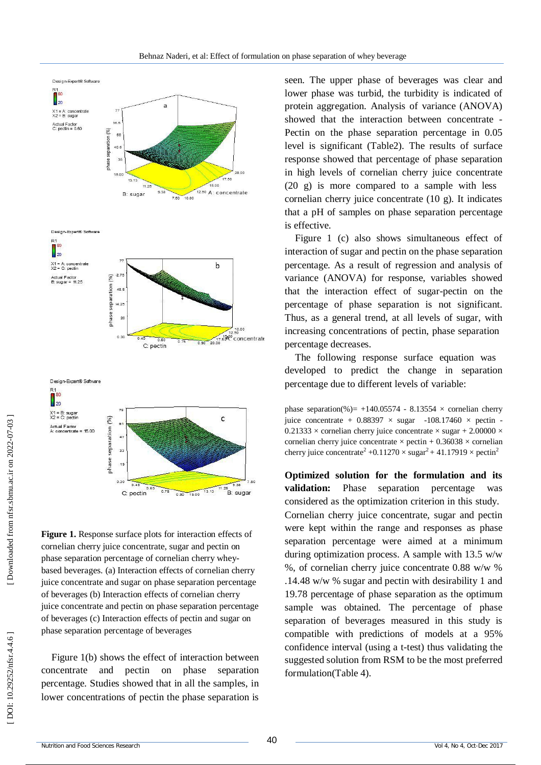

**Figure 1.** Response surface plots for interaction effects of cornelian cherry juice concentrate, sugar and pectin on phase separation percentage of cornelian cherry whey based beverages. (a) Interaction effects of cornelian cherry juice concentrate and sugar on phase separation percentage of beverages (b) Interaction effects of cornelian cherry juice concentrate and pectin on phase separation percentage of beverages (c) Interaction effects of pectin and sugar on phase separation percentage of beverages

Figure 1(b) shows the effect of interaction between concentrate and pectin on phase separation percentage. Studies showed that in all the samples, in lower concentrations of pectin the phase separation is seen. The upper phase of beverages was clear and lower phase was turbid, the turbidity is indicated of protein aggregation. Analysis of variance (ANOVA) showed that the interaction between concentrate - Pectin on the phase separation percentage in 0.05 level is significant (Table2). The results of surface response showed that percentage of phase separation in high levels of cornelian cherry juice concentrate (20 g) is more compared to a sample with less cornelian cherry juice concentrate (10 g). It indicates that a pH of samples on phase separation percentage is effective.

Figure 1 (c) also shows simultaneous effect of interaction of sugar and pectin on the phase separation percentage. As a result of regression and analysis of variance (ANOVA) for response, variables showed that the interaction effect of sugar -pectin on the percentage of phase separation is not significant. Thus, as a general trend, at all levels of sugar, with increasing concentrations of pectin, phase separation percentage decreases.

The following response surface equation was developed to predict the change in separation percentage due to different levels of variable:

phase separation(%) =  $+140.05574 - 8.13554 \times$  cornelian cherry juice concentrate +  $0.88397 \times \text{ sugar}$  -108.17460  $\times$  pectin - $0.21333 \times$  cornelian cherry juice concentrate  $\times$  sugar + 2.00000  $\times$ cornelian cherry juice concentrate  $\times$  pectin + 0.36038  $\times$  cornelian cherry juice concentrate<sup>2</sup> +0.11270  $\times$  sugar<sup>2</sup> + 41.17919  $\times$  pectin<sup>2</sup>

**Optimized solution for the formulation and its validation:** Phase separation percentage was considered as the optimization criterion in this study. Cornelian cherry juice concentrate, sugar and pectin were kept within the range and responses as phase separation percentage were aimed at a minimum during optimization process. A sample with 13.5 w/w %, of cornelian cherry juice concentrate 0.88 w/w % .14.48 w/w % sugar and pectin with desirability 1 and 19.78 percentage of phase separation as the optimum sample was obtained. The percentage of phase separation of beverages measured in this study is compatible with predictions of models at a 95% confidence interval (using a t -test) thus validating the suggested solution from RSM to be the most preferred formulation(Table 4).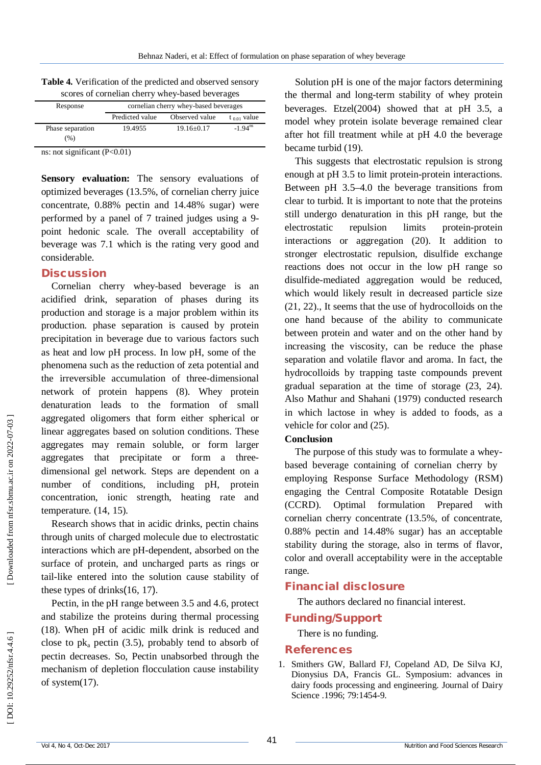| scores of cornelian cherry whey-based beverages |                                       |                  |                       |  |
|-------------------------------------------------|---------------------------------------|------------------|-----------------------|--|
| Response                                        | cornelian cherry whey-based beverages |                  |                       |  |
|                                                 | Predicted value                       | Observed value   | $t_{0.01}$ value      |  |
| Phase separation                                | 19.4955                               | $19.16 \pm 0.17$ | $-1.94$ <sup>ns</sup> |  |
| (%)                                             |                                       |                  |                       |  |

**Table 4 .** Verification of the predicted and observed sensory

ns: not significant (P<0.01)

**Sensory evaluation:** The sensory evaluations of optimized beverages (13.5%, of cornelian cherry juice concentrate, 0.88% pectin and 14.48% sugar) were performed by a panel of 7 trained judges using a 9 point hedonic scale. The overall acceptability of beverage was 7.1 which is the rating very good and considerable.

#### **Discussion**

Cornelian cherry whey -based beverage is an acidified drink, separation of phases during its production and storage is a major problem within its production. phase separation is caused by protein precipitation in beverage due to various factors such as heat and low pH process. In low pH, some of the phenomena such as the reduction of zeta potential and the irreversible accumulation of three -dimensional network of protein happens (8). Whey protein denaturation leads to the formation of small aggregated oligomers that form either spherical or linear aggregates based on solution conditions. These aggregates may remain soluble, or form larger aggregates that precipitate or form a three dimensional gel network. Steps are dependent on a number of conditions, including pH, protein concentration, ionic strength, heating rate and temperature. (14, 15).

Research shows that in acidic drinks, pectin chains through units of charged molecule due to electrostatic interactions which are pH -dependent, absorbed on the surface of protein, and uncharged parts as rings or tail -like entered into the solution cause stability of these types of drinks (16, 17).

Pectin, in the pH range between 3.5 and 4.6, protect and stabilize the proteins during thermal processing (18). When pH of acidic milk drink is reduced and close to  $pk_a$  pectin (3.5), probably tend to absorb of pectin decreases. So, Pectin unabsorbed through the mechanism of depletion flocculation cause instability of system(17).

Solution pH is one of the major factors determining the thermal and long -term stability of whey protein beverages. Etzel(2004) showed that at pH 3.5, a model whey protein isolate beverage remained clear after hot fill treatment while at pH 4.0 the beverage became turbid (19).

This suggests that electrostatic repulsion is strong enough at pH 3.5 to limit protein -protein interactions. Between pH 3.5 –4.0 the beverage transitions from clear to turbid. It is important to note that the proteins still undergo denaturation in this pH range, but the electrostatic repulsion limits protein-protein interactions or aggregation (20). It addition to stronger electrostatic repulsion, disulfide exchange reactions does not occur in the low pH range so disulfide -mediated aggregation would be reduced, which would likely result in decreased particle size (21, 22)., It seems that the use of hydrocolloids on the one hand because of the ability to communicate between protein and water and on the other hand by increasing the viscosity, can be reduce the phase separation an d volatile flavor and aroma. In fact, the hydrocolloids by trapping taste compounds prevent gradual separation at the time of storage (23, 24). Also Mathur and Shahani (1979) conducted research in which lactose in whey is added to foods, as a vehicle for color and (25).

#### **Conclusion**

The purpose of this study was to formulate a whey based beverage containing of cornelian cherry by employing Response Surface Methodology (RSM) engaging the Central Composite Rotatable Design (CCRD). Optimal formulation Prepared with cornelian cherry concentrate (13.5%, of concentrate, 0.88% pectin and 14.48% sugar) has an acceptable stability during the storage, also in terms of flavor, color and overall acceptability were in the acceptable range.

# **Financial disclosure**

The authors declared no financial interest.

# **Funding/Support**

There is no funding.

## **References**

1 . Smithers GW, Ballard FJ, Copeland AD, De Silva KJ, Dionysius DA, Francis GL. Symposium: advances in dairy foods processing and engineering. Journal of Dairy Science .1996; 79:1454 -9.